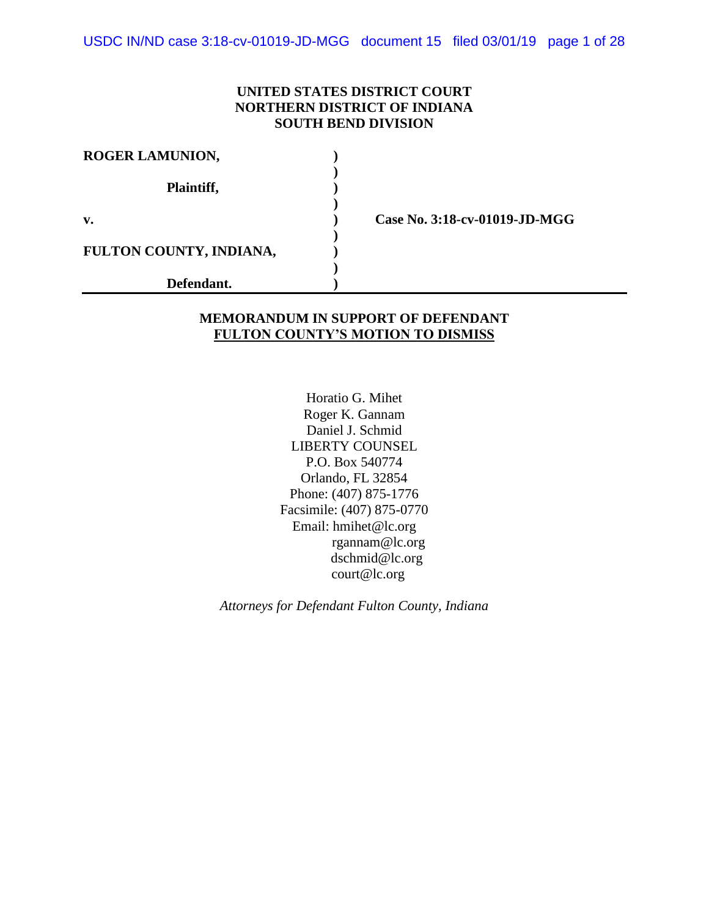USDC IN/ND case 3:18-cv-01019-JD-MGG document 15 filed 03/01/19 page 1 of 28

## **UNITED STATES DISTRICT COURT NORTHERN DISTRICT OF INDIANA SOUTH BEND DIVISION**

| <b>ROGER LAMUNION,</b>  |  |
|-------------------------|--|
| Plaintiff,              |  |
| v.                      |  |
| FULTON COUNTY, INDIANA, |  |
| Defendant.              |  |

**v. ) Case No. 3:18-cv-01019-JD-MGG**

#### **MEMORANDUM IN SUPPORT OF DEFENDANT FULTON COUNTY'S MOTION TO DISMISS**

Horatio G. Mihet Roger K. Gannam Daniel J. Schmid LIBERTY COUNSEL P.O. Box 540774 Orlando, FL 32854 Phone: (407) 875-1776 Facsimile: (407) 875-0770 Email: hmihet@lc.org rgannam@lc.org dschmid@lc.org court@lc.org

*Attorneys for Defendant Fulton County, Indiana*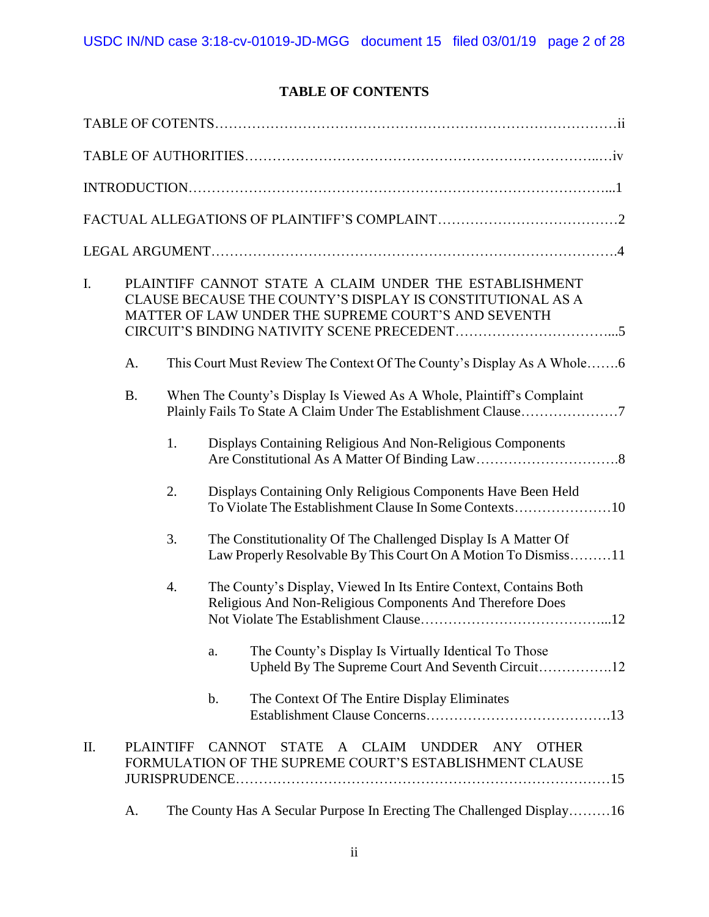# **TABLE OF CONTENTS**

| I.  | PLAINTIFF CANNOT STATE A CLAIM UNDER THE ESTABLISHMENT<br>CLAUSE BECAUSE THE COUNTY'S DISPLAY IS CONSTITUTIONAL AS A<br>MATTER OF LAW UNDER THE SUPREME COURT'S AND SEVENTH |    |                                                                                                                                         |  |  |  |
|-----|-----------------------------------------------------------------------------------------------------------------------------------------------------------------------------|----|-----------------------------------------------------------------------------------------------------------------------------------------|--|--|--|
|     | A.                                                                                                                                                                          |    | This Court Must Review The Context Of The County's Display As A Whole6                                                                  |  |  |  |
|     | <b>B.</b>                                                                                                                                                                   |    | When The County's Display Is Viewed As A Whole, Plaintiff's Complaint<br>Plainly Fails To State A Claim Under The Establishment Clause7 |  |  |  |
|     |                                                                                                                                                                             | 1. | Displays Containing Religious And Non-Religious Components                                                                              |  |  |  |
|     |                                                                                                                                                                             | 2. | Displays Containing Only Religious Components Have Been Held<br>To Violate The Establishment Clause In Some Contexts10                  |  |  |  |
|     |                                                                                                                                                                             | 3. | The Constitutionality Of The Challenged Display Is A Matter Of<br>Law Properly Resolvable By This Court On A Motion To Dismiss11        |  |  |  |
|     |                                                                                                                                                                             | 4. | The County's Display, Viewed In Its Entire Context, Contains Both<br>Religious And Non-Religious Components And Therefore Does          |  |  |  |
|     |                                                                                                                                                                             |    | The County's Display Is Virtually Identical To Those<br>a.                                                                              |  |  |  |
|     |                                                                                                                                                                             |    | The Context Of The Entire Display Eliminates<br>b.                                                                                      |  |  |  |
| II. | <b>PLAINTIFF</b>                                                                                                                                                            |    | <b>CANNOT</b><br>STATE A CLAIM<br><b>UNDDER</b><br>ANY<br><b>OTHER</b><br>FORMULATION OF THE SUPREME COURT'S ESTABLISHMENT CLAUSE       |  |  |  |
|     | A.                                                                                                                                                                          |    | The County Has A Secular Purpose In Erecting The Challenged Display16                                                                   |  |  |  |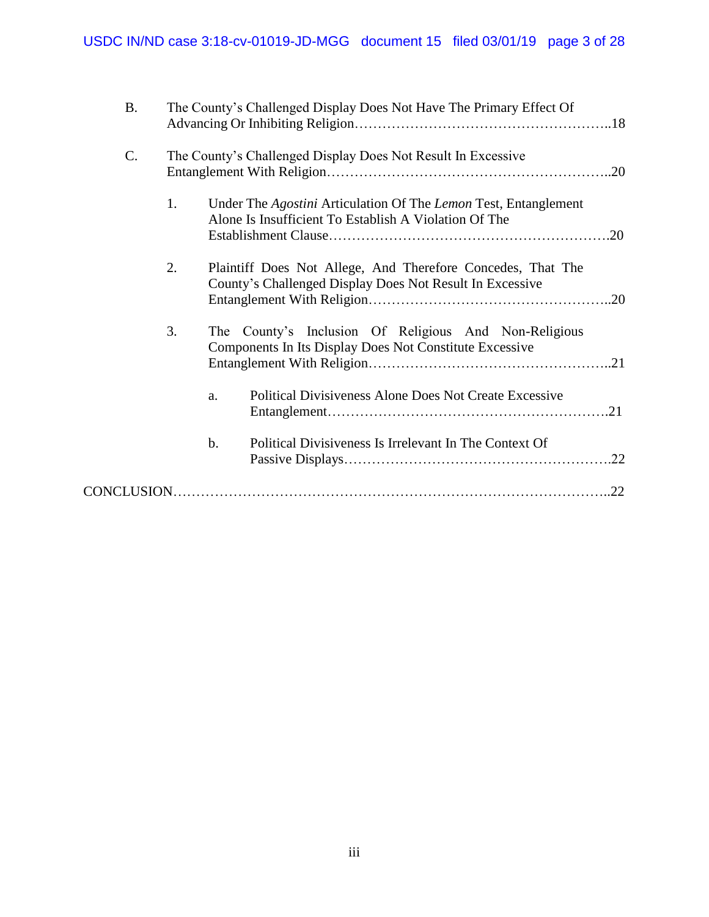| <b>B.</b> |    | The County's Challenged Display Does Not Have The Primary Effect Of                                                      |
|-----------|----|--------------------------------------------------------------------------------------------------------------------------|
| C.        |    | The County's Challenged Display Does Not Result In Excessive                                                             |
|           | 1. | Under The Agostini Articulation Of The Lemon Test, Entanglement<br>Alone Is Insufficient To Establish A Violation Of The |
|           | 2. | Plaintiff Does Not Allege, And Therefore Concedes, That The<br>County's Challenged Display Does Not Result In Excessive  |
|           | 3. | The County's Inclusion Of Religious And Non-Religious<br>Components In Its Display Does Not Constitute Excessive         |
|           |    | Political Divisiveness Alone Does Not Create Excessive<br>a.                                                             |
|           |    | $\mathbf b$ .<br>Political Divisiveness Is Irrelevant In The Context Of<br>.22                                           |
|           |    | .22                                                                                                                      |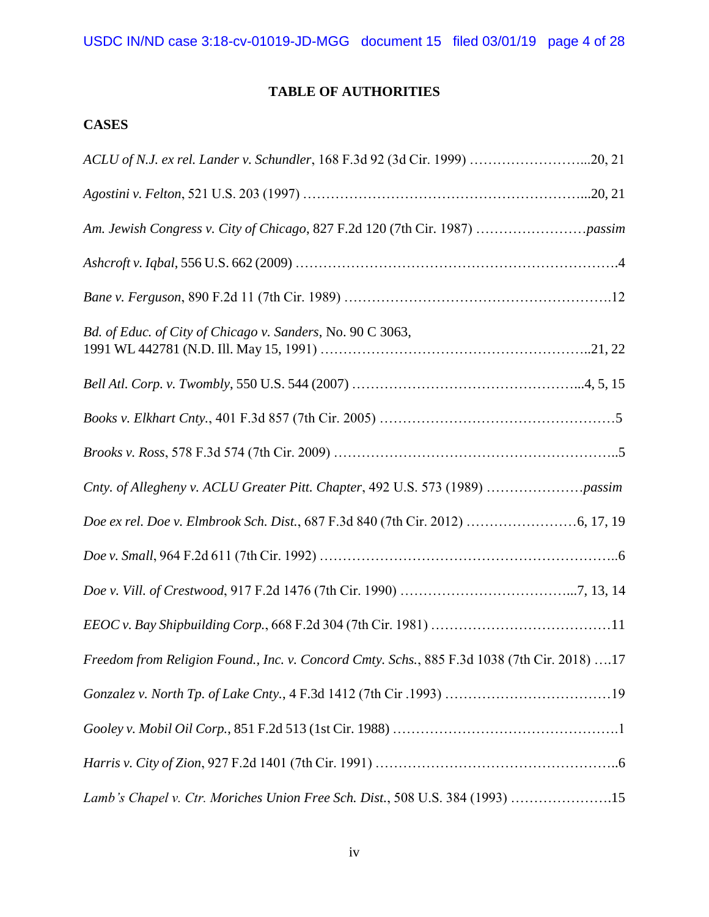# **TABLE OF AUTHORITIES**

# **CASES**

| ACLU of N.J. ex rel. Lander v. Schundler, 168 F.3d 92 (3d Cir. 1999) 20, 21                 |  |
|---------------------------------------------------------------------------------------------|--|
|                                                                                             |  |
|                                                                                             |  |
|                                                                                             |  |
|                                                                                             |  |
| Bd. of Educ. of City of Chicago v. Sanders, No. 90 C 3063,                                  |  |
|                                                                                             |  |
|                                                                                             |  |
|                                                                                             |  |
| Cnty. of Allegheny v. ACLU Greater Pitt. Chapter, 492 U.S. 573 (1989) passim                |  |
|                                                                                             |  |
|                                                                                             |  |
|                                                                                             |  |
|                                                                                             |  |
| Freedom from Religion Found., Inc. v. Concord Cmty. Schs., 885 F.3d 1038 (7th Cir. 2018) 17 |  |
|                                                                                             |  |
|                                                                                             |  |
|                                                                                             |  |
| Lamb's Chapel v. Ctr. Moriches Union Free Sch. Dist., 508 U.S. 384 (1993) 15                |  |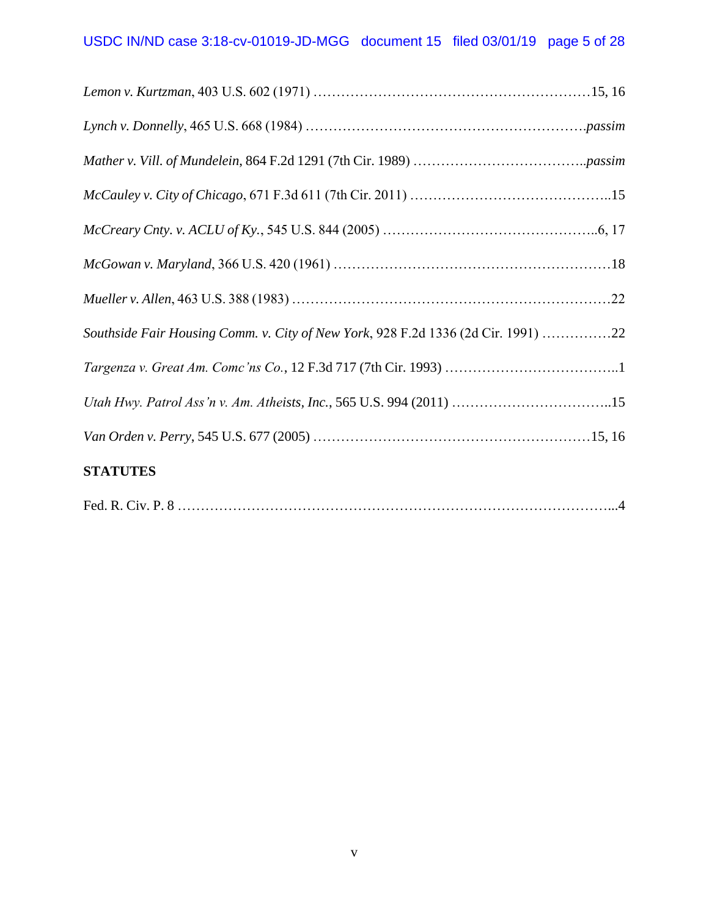| Southside Fair Housing Comm. v. City of New York, 928 F.2d 1336 (2d Cir. 1991) 22 |  |
|-----------------------------------------------------------------------------------|--|
|                                                                                   |  |
| Utah Hwy. Patrol Ass'n v. Am. Atheists, Inc., 565 U.S. 994 (2011) 15              |  |
|                                                                                   |  |
| <b>STATUTES</b>                                                                   |  |
|                                                                                   |  |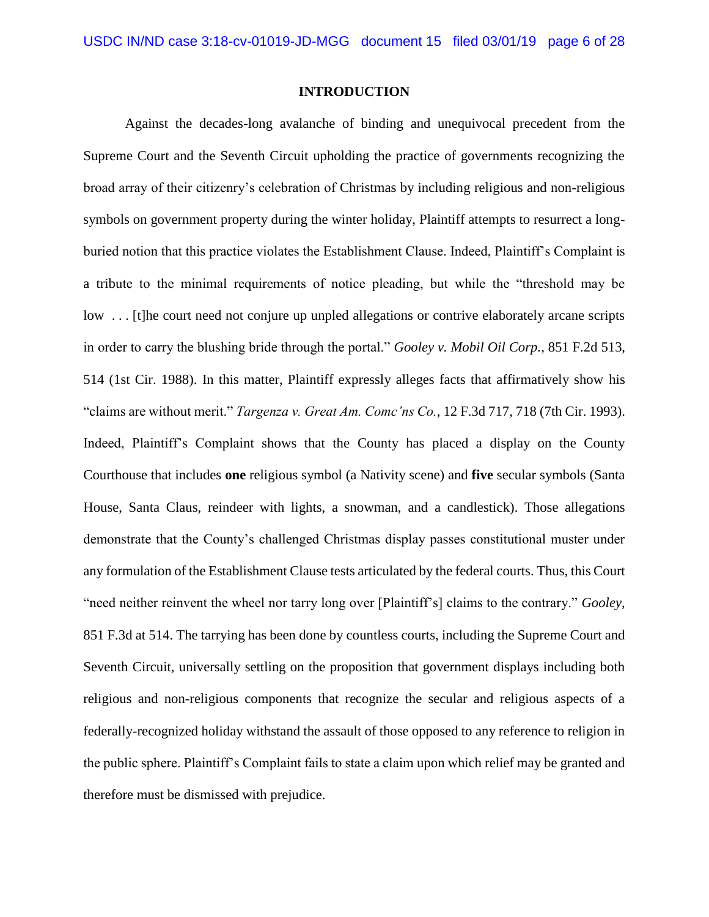#### **INTRODUCTION**

Against the decades-long avalanche of binding and unequivocal precedent from the Supreme Court and the Seventh Circuit upholding the practice of governments recognizing the broad array of their citizenry's celebration of Christmas by including religious and non-religious symbols on government property during the winter holiday, Plaintiff attempts to resurrect a longburied notion that this practice violates the Establishment Clause. Indeed, Plaintiff's Complaint is a tribute to the minimal requirements of notice pleading, but while the "threshold may be low . . . [t]he court need not conjure up unpled allegations or contrive elaborately arcane scripts in order to carry the blushing bride through the portal." *Gooley v. Mobil Oil Corp.*, 851 F.2d 513, 514 (1st Cir. 1988). In this matter, Plaintiff expressly alleges facts that affirmatively show his "claims are without merit." *Targenza v. Great Am. Comc'ns Co.*, 12 F.3d 717, 718 (7th Cir. 1993). Indeed, Plaintiff's Complaint shows that the County has placed a display on the County Courthouse that includes **one** religious symbol (a Nativity scene) and **five** secular symbols (Santa House, Santa Claus, reindeer with lights, a snowman, and a candlestick). Those allegations demonstrate that the County's challenged Christmas display passes constitutional muster under any formulation of the Establishment Clause tests articulated by the federal courts. Thus, this Court "need neither reinvent the wheel nor tarry long over [Plaintiff's] claims to the contrary." *Gooley*, 851 F.3d at 514. The tarrying has been done by countless courts, including the Supreme Court and Seventh Circuit, universally settling on the proposition that government displays including both religious and non-religious components that recognize the secular and religious aspects of a federally-recognized holiday withstand the assault of those opposed to any reference to religion in the public sphere. Plaintiff's Complaint fails to state a claim upon which relief may be granted and therefore must be dismissed with prejudice.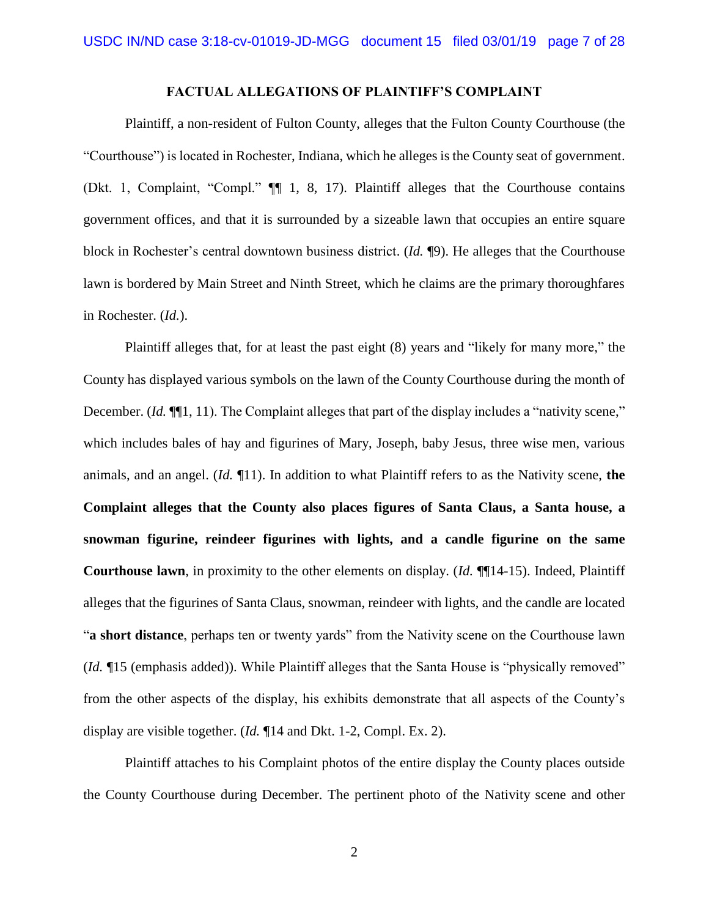#### **FACTUAL ALLEGATIONS OF PLAINTIFF'S COMPLAINT**

Plaintiff, a non-resident of Fulton County, alleges that the Fulton County Courthouse (the "Courthouse") is located in Rochester, Indiana, which he alleges is the County seat of government. (Dkt. 1, Complaint, "Compl." ¶¶ 1, 8, 17). Plaintiff alleges that the Courthouse contains government offices, and that it is surrounded by a sizeable lawn that occupies an entire square block in Rochester's central downtown business district. (*Id.* ¶9). He alleges that the Courthouse lawn is bordered by Main Street and Ninth Street, which he claims are the primary thoroughfares in Rochester. (*Id.*).

Plaintiff alleges that, for at least the past eight (8) years and "likely for many more," the County has displayed various symbols on the lawn of the County Courthouse during the month of December. (*Id.*  $\P$ [1, 11). The Complaint alleges that part of the display includes a "nativity scene," which includes bales of hay and figurines of Mary, Joseph, baby Jesus, three wise men, various animals, and an angel. (*Id.* ¶11). In addition to what Plaintiff refers to as the Nativity scene, **the Complaint alleges that the County also places figures of Santa Claus, a Santa house, a snowman figurine, reindeer figurines with lights, and a candle figurine on the same Courthouse lawn**, in proximity to the other elements on display. (*Id.* ¶¶14-15). Indeed, Plaintiff alleges that the figurines of Santa Claus, snowman, reindeer with lights, and the candle are located "**a short distance**, perhaps ten or twenty yards" from the Nativity scene on the Courthouse lawn (*Id.* ¶15 (emphasis added)). While Plaintiff alleges that the Santa House is "physically removed" from the other aspects of the display, his exhibits demonstrate that all aspects of the County's display are visible together. (*Id.* ¶14 and Dkt. 1-2, Compl. Ex. 2).

Plaintiff attaches to his Complaint photos of the entire display the County places outside the County Courthouse during December. The pertinent photo of the Nativity scene and other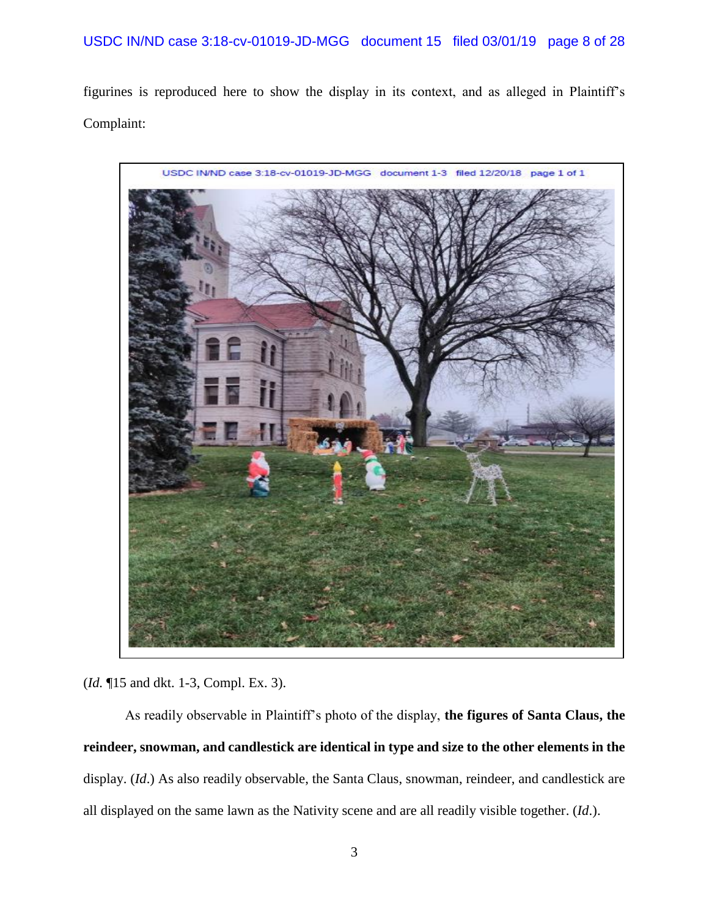figurines is reproduced here to show the display in its context, and as alleged in Plaintiff's Complaint:



(*Id.* ¶15 and dkt. 1-3, Compl. Ex. 3).

As readily observable in Plaintiff's photo of the display, **the figures of Santa Claus, the reindeer, snowman, and candlestick are identical in type and size to the other elements in the**  display. (*Id*.) As also readily observable, the Santa Claus, snowman, reindeer, and candlestick are all displayed on the same lawn as the Nativity scene and are all readily visible together. (*Id*.).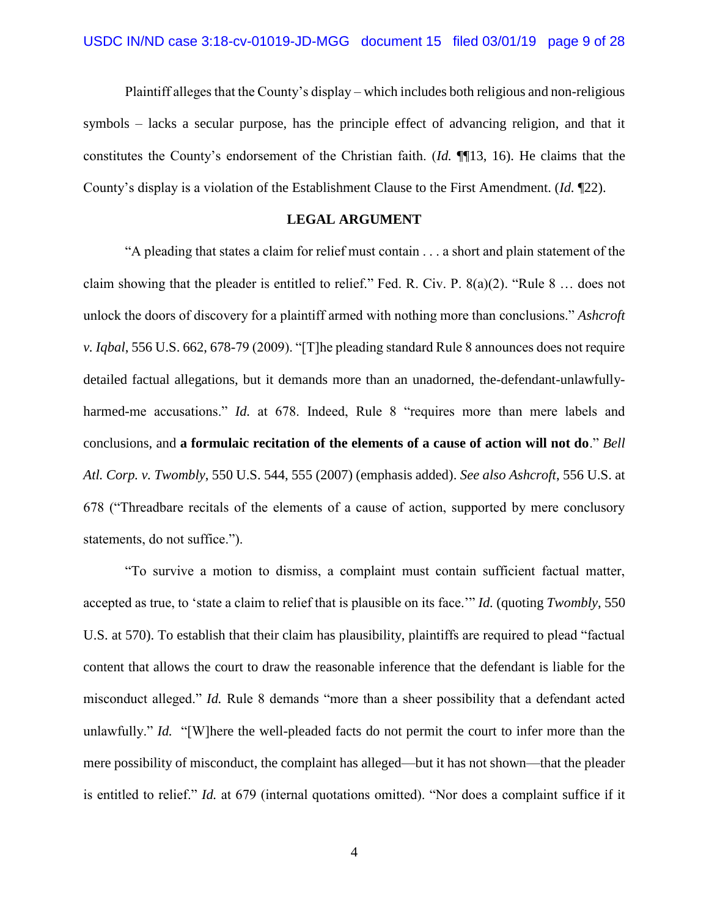Plaintiff alleges that the County's display – which includes both religious and non-religious symbols – lacks a secular purpose, has the principle effect of advancing religion, and that it constitutes the County's endorsement of the Christian faith. (*Id.* ¶¶13, 16). He claims that the County's display is a violation of the Establishment Clause to the First Amendment. (*Id.* ¶22).

#### **LEGAL ARGUMENT**

"A pleading that states a claim for relief must contain . . . a short and plain statement of the claim showing that the pleader is entitled to relief." Fed. R. Civ. P.  $8(a)(2)$ . "Rule  $8 \dots$  does not unlock the doors of discovery for a plaintiff armed with nothing more than conclusions." *Ashcroft v. Iqbal*, 556 U.S. 662, 678-79 (2009). "[T]he pleading standard Rule 8 announces does not require detailed factual allegations, but it demands more than an unadorned, the-defendant-unlawfullyharmed-me accusations." *Id.* at 678. Indeed, Rule 8 "requires more than mere labels and conclusions, and **a formulaic recitation of the elements of a cause of action will not do**." *Bell Atl. Corp. v. Twombly*, 550 U.S. 544, 555 (2007) (emphasis added). *See also Ashcroft*, 556 U.S. at 678 ("Threadbare recitals of the elements of a cause of action, supported by mere conclusory statements, do not suffice.").

"To survive a motion to dismiss, a complaint must contain sufficient factual matter, accepted as true, to 'state a claim to relief that is plausible on its face.'" *Id.* (quoting *Twombly*, 550 U.S. at 570). To establish that their claim has plausibility, plaintiffs are required to plead "factual content that allows the court to draw the reasonable inference that the defendant is liable for the misconduct alleged." *Id.* Rule 8 demands "more than a sheer possibility that a defendant acted unlawfully." *Id.* "[W]here the well-pleaded facts do not permit the court to infer more than the mere possibility of misconduct, the complaint has alleged—but it has not shown—that the pleader is entitled to relief." *Id.* at 679 (internal quotations omitted). "Nor does a complaint suffice if it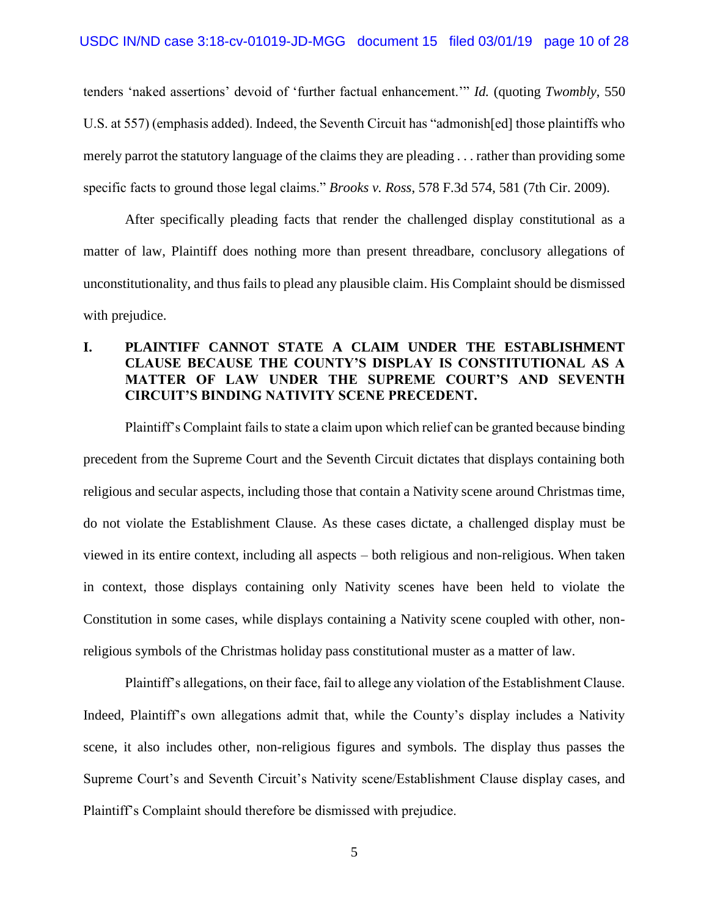tenders 'naked assertions' devoid of 'further factual enhancement.'" *Id.* (quoting *Twombly*, 550 U.S. at 557) (emphasis added). Indeed, the Seventh Circuit has "admonish[ed] those plaintiffs who merely parrot the statutory language of the claims they are pleading . . . rather than providing some specific facts to ground those legal claims." *Brooks v. Ross*, 578 F.3d 574, 581 (7th Cir. 2009).

After specifically pleading facts that render the challenged display constitutional as a matter of law, Plaintiff does nothing more than present threadbare, conclusory allegations of unconstitutionality, and thus fails to plead any plausible claim. His Complaint should be dismissed with prejudice.

## **I. PLAINTIFF CANNOT STATE A CLAIM UNDER THE ESTABLISHMENT CLAUSE BECAUSE THE COUNTY'S DISPLAY IS CONSTITUTIONAL AS A MATTER OF LAW UNDER THE SUPREME COURT'S AND SEVENTH CIRCUIT'S BINDING NATIVITY SCENE PRECEDENT.**

Plaintiff's Complaint fails to state a claim upon which relief can be granted because binding precedent from the Supreme Court and the Seventh Circuit dictates that displays containing both religious and secular aspects, including those that contain a Nativity scene around Christmas time, do not violate the Establishment Clause. As these cases dictate, a challenged display must be viewed in its entire context, including all aspects – both religious and non-religious. When taken in context, those displays containing only Nativity scenes have been held to violate the Constitution in some cases, while displays containing a Nativity scene coupled with other, nonreligious symbols of the Christmas holiday pass constitutional muster as a matter of law.

Plaintiff's allegations, on their face, fail to allege any violation of the Establishment Clause. Indeed, Plaintiff's own allegations admit that, while the County's display includes a Nativity scene, it also includes other, non-religious figures and symbols. The display thus passes the Supreme Court's and Seventh Circuit's Nativity scene/Establishment Clause display cases, and Plaintiff's Complaint should therefore be dismissed with prejudice.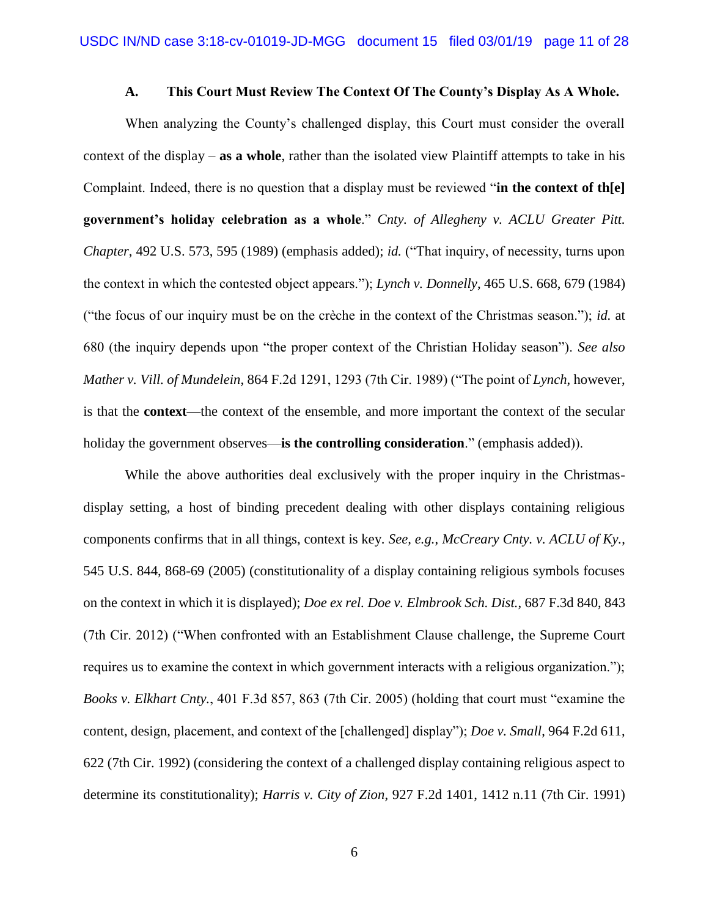#### **A. This Court Must Review The Context Of The County's Display As A Whole.**

When analyzing the County's challenged display, this Court must consider the overall context of the display – **as a whole**, rather than the isolated view Plaintiff attempts to take in his Complaint. Indeed, there is no question that a display must be reviewed "**in the context of th[e] government's holiday celebration as a whole**." *Cnty. of Allegheny v. ACLU Greater Pitt. Chapter*, 492 U.S. 573, 595 (1989) (emphasis added); *id.* ("That inquiry, of necessity, turns upon the context in which the contested object appears."); *Lynch v. Donnelly*, 465 U.S. 668, 679 (1984) ("the focus of our inquiry must be on the crèche in the context of the Christmas season."); *id.* at 680 (the inquiry depends upon "the proper context of the Christian Holiday season"). *See also Mather v. Vill. of Mundelein*, 864 F.2d 1291, 1293 (7th Cir. 1989) ("The point of *Lynch*, however, is that the **context**—the context of the ensemble, and more important the context of the secular holiday the government observes—**is the controlling consideration**." (emphasis added)).

While the above authorities deal exclusively with the proper inquiry in the Christmasdisplay setting, a host of binding precedent dealing with other displays containing religious components confirms that in all things, context is key. *See, e.g.*, *McCreary Cnty. v. ACLU of Ky.*, 545 U.S. 844, 868-69 (2005) (constitutionality of a display containing religious symbols focuses on the context in which it is displayed); *Doe ex rel. Doe v. Elmbrook Sch. Dist.*, 687 F.3d 840, 843 (7th Cir. 2012) ("When confronted with an Establishment Clause challenge, the Supreme Court requires us to examine the context in which government interacts with a religious organization."); *Books v. Elkhart Cnty.*, 401 F.3d 857, 863 (7th Cir. 2005) (holding that court must "examine the content, design, placement, and context of the [challenged] display"); *Doe v. Small*, 964 F.2d 611, 622 (7th Cir. 1992) (considering the context of a challenged display containing religious aspect to determine its constitutionality); *Harris v. City of Zion*, 927 F.2d 1401, 1412 n.11 (7th Cir. 1991)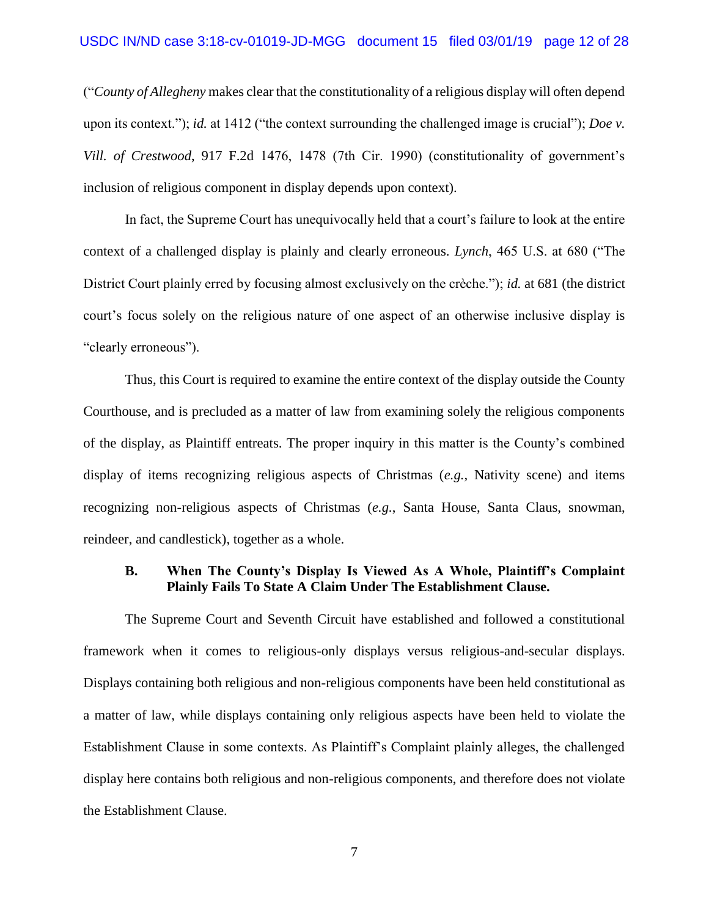("*County of Allegheny* makes clear that the constitutionality of a religious display will often depend upon its context."); *id.* at 1412 ("the context surrounding the challenged image is crucial"); *Doe v. Vill. of Crestwood*, 917 F.2d 1476, 1478 (7th Cir. 1990) (constitutionality of government's inclusion of religious component in display depends upon context).

In fact, the Supreme Court has unequivocally held that a court's failure to look at the entire context of a challenged display is plainly and clearly erroneous. *Lynch*, 465 U.S. at 680 ("The District Court plainly erred by focusing almost exclusively on the crèche."); *id.* at 681 (the district court's focus solely on the religious nature of one aspect of an otherwise inclusive display is "clearly erroneous").

Thus, this Court is required to examine the entire context of the display outside the County Courthouse, and is precluded as a matter of law from examining solely the religious components of the display, as Plaintiff entreats. The proper inquiry in this matter is the County's combined display of items recognizing religious aspects of Christmas (*e.g.*, Nativity scene) and items recognizing non-religious aspects of Christmas (*e.g.*, Santa House, Santa Claus, snowman, reindeer, and candlestick), together as a whole.

#### **B. When The County's Display Is Viewed As A Whole, Plaintiff's Complaint Plainly Fails To State A Claim Under The Establishment Clause.**

The Supreme Court and Seventh Circuit have established and followed a constitutional framework when it comes to religious-only displays versus religious-and-secular displays. Displays containing both religious and non-religious components have been held constitutional as a matter of law, while displays containing only religious aspects have been held to violate the Establishment Clause in some contexts. As Plaintiff's Complaint plainly alleges, the challenged display here contains both religious and non-religious components, and therefore does not violate the Establishment Clause.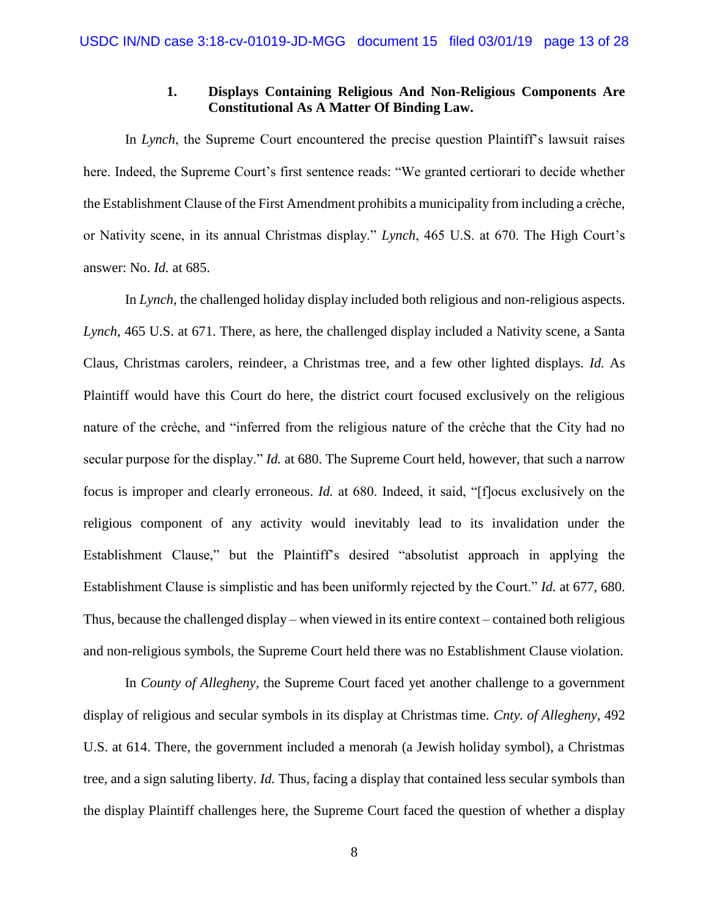## **1. Displays Containing Religious And Non-Religious Components Are Constitutional As A Matter Of Binding Law.**

In *Lynch*, the Supreme Court encountered the precise question Plaintiff's lawsuit raises here. Indeed, the Supreme Court's first sentence reads: "We granted certiorari to decide whether the Establishment Clause of the First Amendment prohibits a municipality from including a crèche, or Nativity scene, in its annual Christmas display." *Lynch*, 465 U.S. at 670. The High Court's answer: No. *Id.* at 685.

In *Lynch*, the challenged holiday display included both religious and non-religious aspects. *Lynch*, 465 U.S. at 671. There, as here, the challenged display included a Nativity scene, a Santa Claus, Christmas carolers, reindeer, a Christmas tree, and a few other lighted displays. *Id.* As Plaintiff would have this Court do here, the district court focused exclusively on the religious nature of the crèche, and "inferred from the religious nature of the crèche that the City had no secular purpose for the display." *Id.* at 680. The Supreme Court held, however, that such a narrow focus is improper and clearly erroneous. *Id.* at 680. Indeed, it said, "[f]ocus exclusively on the religious component of any activity would inevitably lead to its invalidation under the Establishment Clause," but the Plaintiff's desired "absolutist approach in applying the Establishment Clause is simplistic and has been uniformly rejected by the Court." *Id.* at 677, 680. Thus, because the challenged display – when viewed in its entire context – contained both religious and non-religious symbols, the Supreme Court held there was no Establishment Clause violation.

In *County of Allegheny*, the Supreme Court faced yet another challenge to a government display of religious and secular symbols in its display at Christmas time. *Cnty. of Allegheny*, 492 U.S. at 614. There, the government included a menorah (a Jewish holiday symbol), a Christmas tree, and a sign saluting liberty. *Id.* Thus, facing a display that contained less secular symbols than the display Plaintiff challenges here, the Supreme Court faced the question of whether a display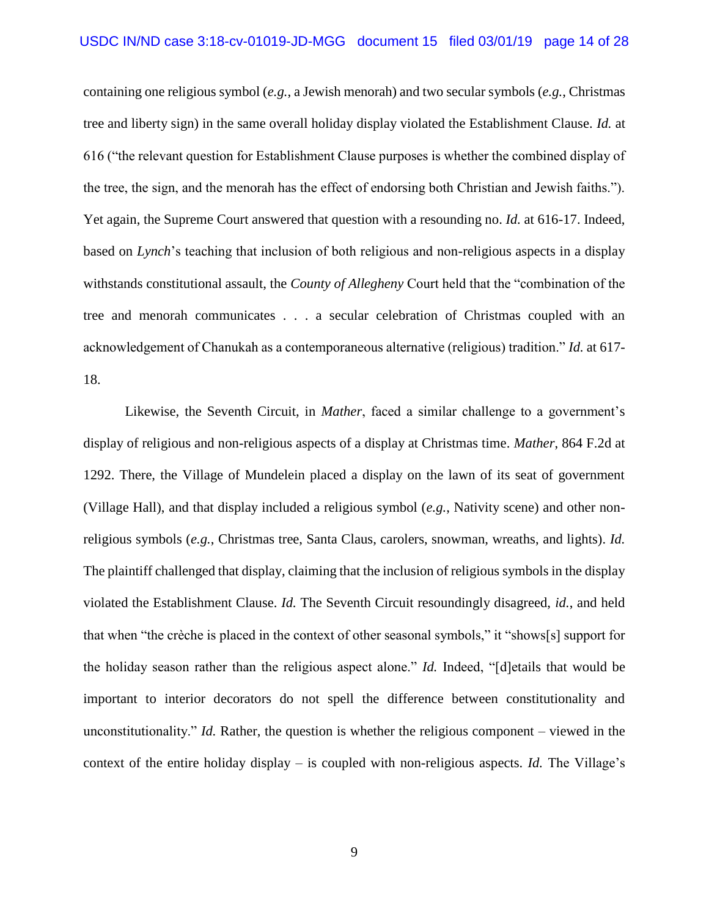containing one religious symbol (*e.g.*, a Jewish menorah) and two secular symbols (*e.g.*, Christmas tree and liberty sign) in the same overall holiday display violated the Establishment Clause. *Id.* at 616 ("the relevant question for Establishment Clause purposes is whether the combined display of the tree, the sign, and the menorah has the effect of endorsing both Christian and Jewish faiths."). Yet again, the Supreme Court answered that question with a resounding no. *Id.* at 616-17. Indeed, based on *Lynch*'s teaching that inclusion of both religious and non-religious aspects in a display withstands constitutional assault, the *County of Allegheny* Court held that the "combination of the tree and menorah communicates . . . a secular celebration of Christmas coupled with an acknowledgement of Chanukah as a contemporaneous alternative (religious) tradition." *Id.* at 617- 18.

Likewise, the Seventh Circuit, in *Mather*, faced a similar challenge to a government's display of religious and non-religious aspects of a display at Christmas time. *Mather*, 864 F.2d at 1292. There, the Village of Mundelein placed a display on the lawn of its seat of government (Village Hall), and that display included a religious symbol (*e.g.*, Nativity scene) and other nonreligious symbols (*e.g.*, Christmas tree, Santa Claus, carolers, snowman, wreaths, and lights). *Id.*  The plaintiff challenged that display, claiming that the inclusion of religious symbols in the display violated the Establishment Clause. *Id.* The Seventh Circuit resoundingly disagreed, *id.*, and held that when "the crèche is placed in the context of other seasonal symbols," it "shows[s] support for the holiday season rather than the religious aspect alone." *Id.* Indeed, "[d]etails that would be important to interior decorators do not spell the difference between constitutionality and unconstitutionality." *Id.* Rather, the question is whether the religious component – viewed in the context of the entire holiday display – is coupled with non-religious aspects. *Id.* The Village's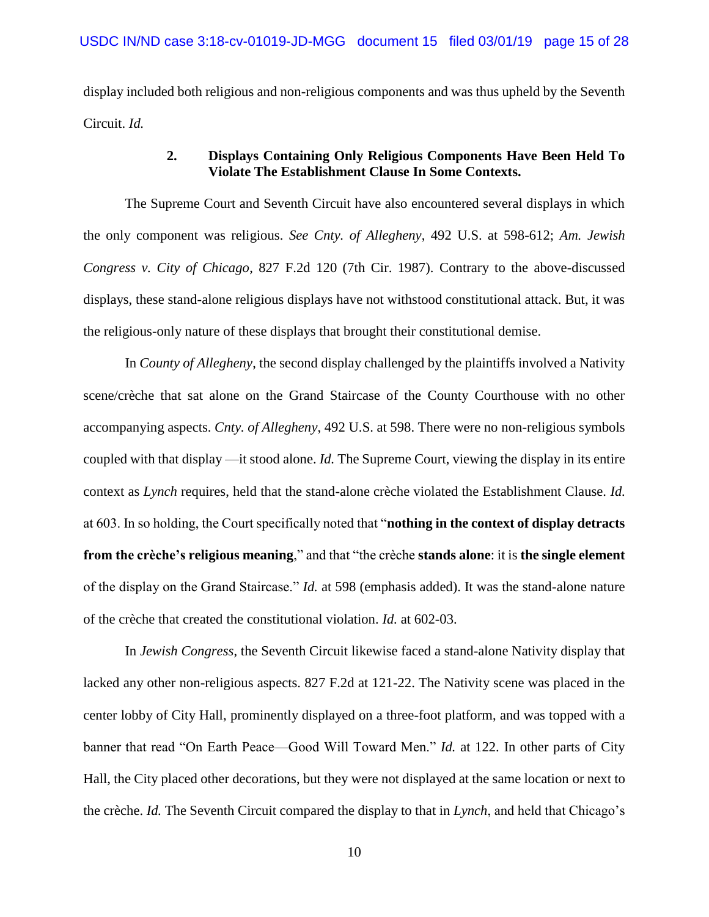display included both religious and non-religious components and was thus upheld by the Seventh Circuit. *Id.*

### **2. Displays Containing Only Religious Components Have Been Held To Violate The Establishment Clause In Some Contexts.**

The Supreme Court and Seventh Circuit have also encountered several displays in which the only component was religious. *See Cnty. of Allegheny*, 492 U.S. at 598-612; *Am. Jewish Congress v. City of Chicago*, 827 F.2d 120 (7th Cir. 1987). Contrary to the above-discussed displays, these stand-alone religious displays have not withstood constitutional attack. But, it was the religious-only nature of these displays that brought their constitutional demise.

In *County of Allegheny*, the second display challenged by the plaintiffs involved a Nativity scene/crèche that sat alone on the Grand Staircase of the County Courthouse with no other accompanying aspects. *Cnty. of Allegheny*, 492 U.S. at 598. There were no non-religious symbols coupled with that display —it stood alone. *Id.* The Supreme Court, viewing the display in its entire context as *Lynch* requires, held that the stand-alone crèche violated the Establishment Clause. *Id.*  at 603. In so holding, the Court specifically noted that "**nothing in the context of display detracts from the crèche's religious meaning**," and that "the crèche **stands alone**: it is **the single element** of the display on the Grand Staircase." *Id.* at 598 (emphasis added). It was the stand-alone nature of the crèche that created the constitutional violation. *Id.* at 602-03.

In *Jewish Congress*, the Seventh Circuit likewise faced a stand-alone Nativity display that lacked any other non-religious aspects. 827 F.2d at 121-22. The Nativity scene was placed in the center lobby of City Hall, prominently displayed on a three-foot platform, and was topped with a banner that read "On Earth Peace—Good Will Toward Men." *Id.* at 122. In other parts of City Hall, the City placed other decorations, but they were not displayed at the same location or next to the crèche. *Id.* The Seventh Circuit compared the display to that in *Lynch*, and held that Chicago's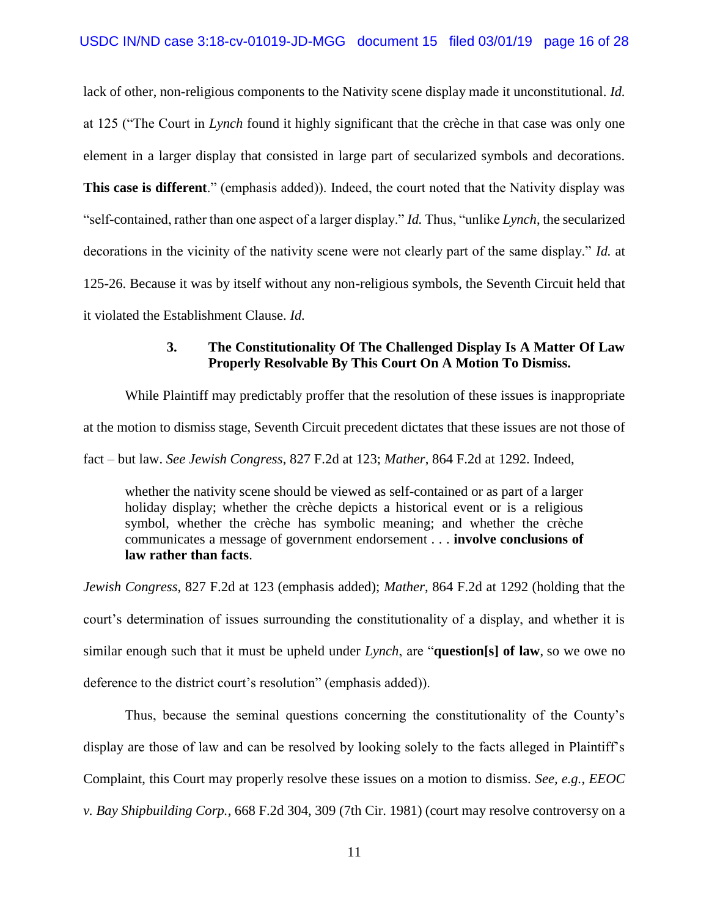lack of other, non-religious components to the Nativity scene display made it unconstitutional. *Id.*  at 125 ("The Court in *Lynch* found it highly significant that the crèche in that case was only one element in a larger display that consisted in large part of secularized symbols and decorations. **This case is different**." (emphasis added)). Indeed, the court noted that the Nativity display was "self-contained, rather than one aspect of a larger display." *Id.* Thus, "unlike *Lynch*, the secularized decorations in the vicinity of the nativity scene were not clearly part of the same display." *Id.* at 125-26. Because it was by itself without any non-religious symbols, the Seventh Circuit held that it violated the Establishment Clause. *Id.*

#### **3. The Constitutionality Of The Challenged Display Is A Matter Of Law Properly Resolvable By This Court On A Motion To Dismiss.**

While Plaintiff may predictably proffer that the resolution of these issues is inappropriate at the motion to dismiss stage, Seventh Circuit precedent dictates that these issues are not those of fact – but law. *See Jewish Congress*, 827 F.2d at 123; *Mather*, 864 F.2d at 1292. Indeed,

whether the nativity scene should be viewed as self-contained or as part of a larger holiday display; whether the crèche depicts a historical event or is a religious symbol, whether the crèche has symbolic meaning; and whether the crèche communicates a message of government endorsement . . . **involve conclusions of law rather than facts**.

*Jewish Congress*, 827 F.2d at 123 (emphasis added); *Mather*, 864 F.2d at 1292 (holding that the court's determination of issues surrounding the constitutionality of a display, and whether it is similar enough such that it must be upheld under *Lynch*, are "**question[s] of law**, so we owe no deference to the district court's resolution" (emphasis added)).

Thus, because the seminal questions concerning the constitutionality of the County's display are those of law and can be resolved by looking solely to the facts alleged in Plaintiff's Complaint, this Court may properly resolve these issues on a motion to dismiss. *See, e.g.*, *EEOC v. Bay Shipbuilding Corp.*, 668 F.2d 304, 309 (7th Cir. 1981) (court may resolve controversy on a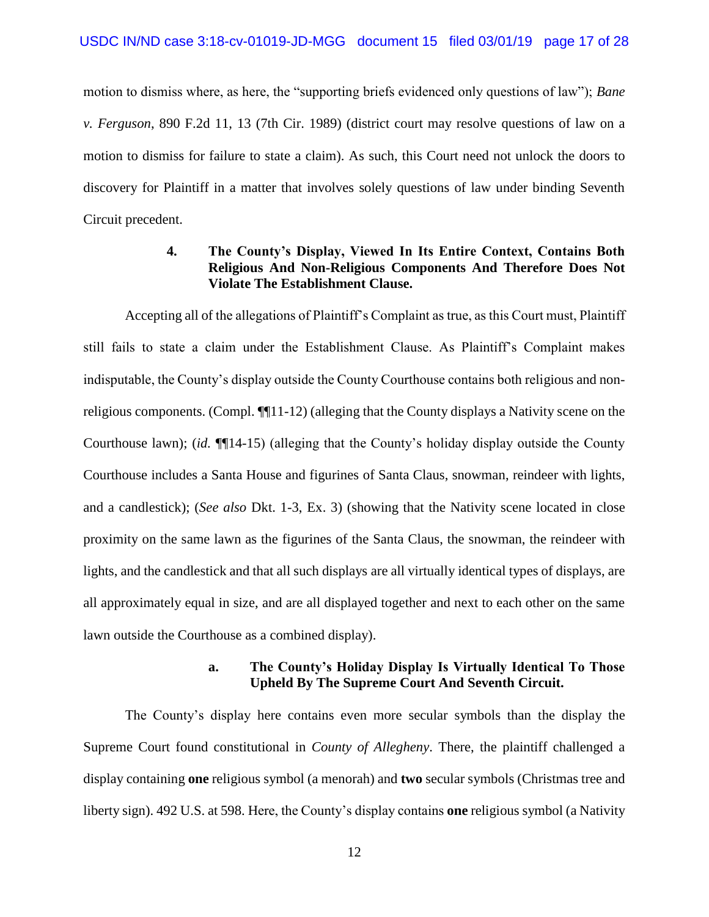motion to dismiss where, as here, the "supporting briefs evidenced only questions of law"); *Bane v. Ferguson*, 890 F.2d 11, 13 (7th Cir. 1989) (district court may resolve questions of law on a motion to dismiss for failure to state a claim). As such, this Court need not unlock the doors to discovery for Plaintiff in a matter that involves solely questions of law under binding Seventh Circuit precedent.

## **4. The County's Display, Viewed In Its Entire Context, Contains Both Religious And Non-Religious Components And Therefore Does Not Violate The Establishment Clause.**

Accepting all of the allegations of Plaintiff's Complaint as true, as this Court must, Plaintiff still fails to state a claim under the Establishment Clause. As Plaintiff's Complaint makes indisputable, the County's display outside the County Courthouse contains both religious and nonreligious components. (Compl. ¶¶11-12) (alleging that the County displays a Nativity scene on the Courthouse lawn); (*id.* ¶¶14-15) (alleging that the County's holiday display outside the County Courthouse includes a Santa House and figurines of Santa Claus, snowman, reindeer with lights, and a candlestick); (*See also* Dkt. 1-3, Ex. 3) (showing that the Nativity scene located in close proximity on the same lawn as the figurines of the Santa Claus, the snowman, the reindeer with lights, and the candlestick and that all such displays are all virtually identical types of displays, are all approximately equal in size, and are all displayed together and next to each other on the same lawn outside the Courthouse as a combined display).

#### **a. The County's Holiday Display Is Virtually Identical To Those Upheld By The Supreme Court And Seventh Circuit.**

The County's display here contains even more secular symbols than the display the Supreme Court found constitutional in *County of Allegheny*. There, the plaintiff challenged a display containing **one** religious symbol (a menorah) and **two** secular symbols (Christmas tree and liberty sign). 492 U.S. at 598. Here, the County's display contains **one** religious symbol (a Nativity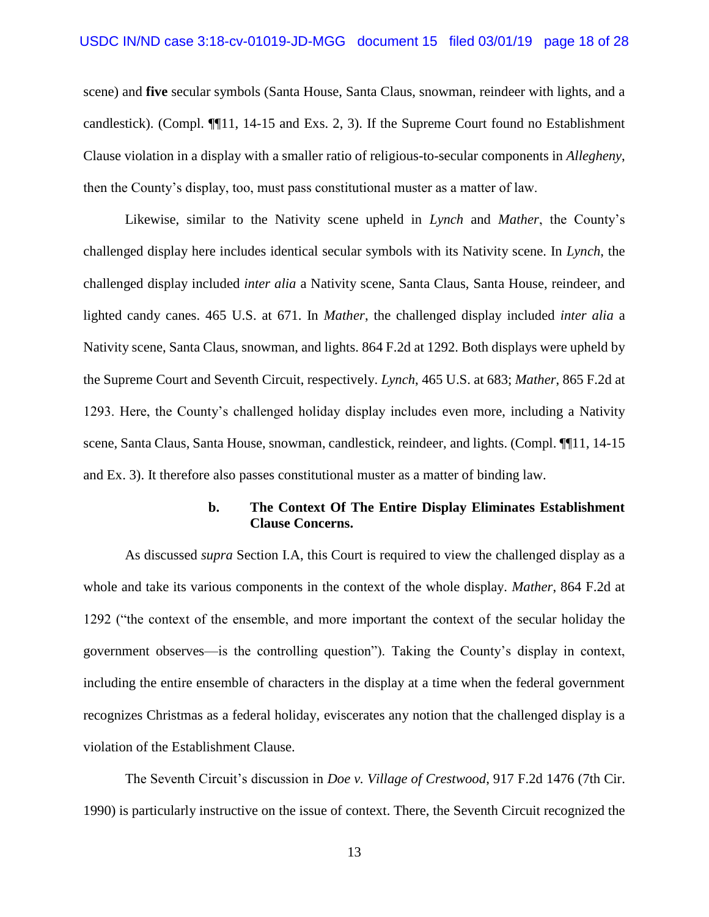scene) and **five** secular symbols (Santa House, Santa Claus, snowman, reindeer with lights, and a candlestick). (Compl. ¶¶11, 14-15 and Exs. 2, 3). If the Supreme Court found no Establishment Clause violation in a display with a smaller ratio of religious-to-secular components in *Allegheny*, then the County's display, too, must pass constitutional muster as a matter of law.

Likewise, similar to the Nativity scene upheld in *Lynch* and *Mather*, the County's challenged display here includes identical secular symbols with its Nativity scene. In *Lynch*, the challenged display included *inter alia* a Nativity scene, Santa Claus, Santa House, reindeer, and lighted candy canes. 465 U.S. at 671. In *Mather*, the challenged display included *inter alia* a Nativity scene, Santa Claus, snowman, and lights. 864 F.2d at 1292. Both displays were upheld by the Supreme Court and Seventh Circuit, respectively. *Lynch*, 465 U.S. at 683; *Mather*, 865 F.2d at 1293. Here, the County's challenged holiday display includes even more, including a Nativity scene, Santa Claus, Santa House, snowman, candlestick, reindeer, and lights. (Compl. ¶¶11, 14-15 and Ex. 3). It therefore also passes constitutional muster as a matter of binding law.

#### **b. The Context Of The Entire Display Eliminates Establishment Clause Concerns.**

As discussed *supra* Section I.A, this Court is required to view the challenged display as a whole and take its various components in the context of the whole display. *Mather*, 864 F.2d at 1292 ("the context of the ensemble, and more important the context of the secular holiday the government observes—is the controlling question"). Taking the County's display in context, including the entire ensemble of characters in the display at a time when the federal government recognizes Christmas as a federal holiday, eviscerates any notion that the challenged display is a violation of the Establishment Clause.

The Seventh Circuit's discussion in *Doe v. Village of Crestwood*, 917 F.2d 1476 (7th Cir. 1990) is particularly instructive on the issue of context. There, the Seventh Circuit recognized the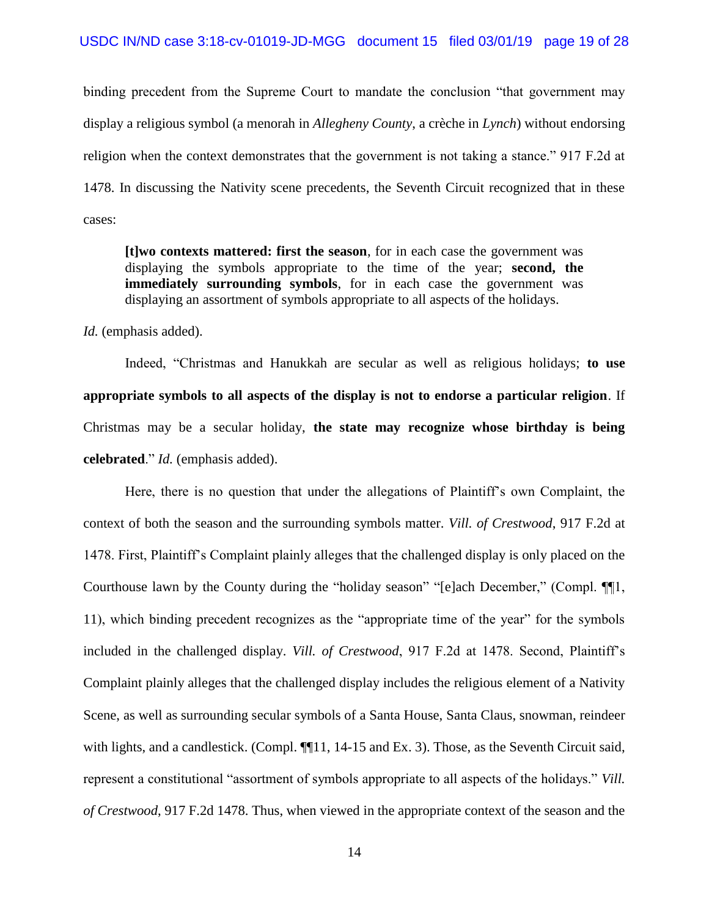binding precedent from the Supreme Court to mandate the conclusion "that government may display a religious symbol (a menorah in *Allegheny County*, a crèche in *Lynch*) without endorsing religion when the context demonstrates that the government is not taking a stance." 917 F.2d at 1478. In discussing the Nativity scene precedents, the Seventh Circuit recognized that in these cases:

**[t]wo contexts mattered: first the season**, for in each case the government was displaying the symbols appropriate to the time of the year; **second, the immediately surrounding symbols**, for in each case the government was displaying an assortment of symbols appropriate to all aspects of the holidays.

Id. (emphasis added).

Indeed, "Christmas and Hanukkah are secular as well as religious holidays; **to use appropriate symbols to all aspects of the display is not to endorse a particular religion**. If Christmas may be a secular holiday, **the state may recognize whose birthday is being celebrated**." *Id.* (emphasis added).

Here, there is no question that under the allegations of Plaintiff's own Complaint, the context of both the season and the surrounding symbols matter. *Vill. of Crestwood*, 917 F.2d at 1478. First, Plaintiff's Complaint plainly alleges that the challenged display is only placed on the Courthouse lawn by the County during the "holiday season" "[e]ach December," (Compl. ¶¶1, 11), which binding precedent recognizes as the "appropriate time of the year" for the symbols included in the challenged display. *Vill. of Crestwood*, 917 F.2d at 1478. Second, Plaintiff's Complaint plainly alleges that the challenged display includes the religious element of a Nativity Scene, as well as surrounding secular symbols of a Santa House, Santa Claus, snowman, reindeer with lights, and a candlestick. (Compl.  $\P$ 11, 14-15 and Ex. 3). Those, as the Seventh Circuit said, represent a constitutional "assortment of symbols appropriate to all aspects of the holidays." *Vill. of Crestwood*, 917 F.2d 1478. Thus, when viewed in the appropriate context of the season and the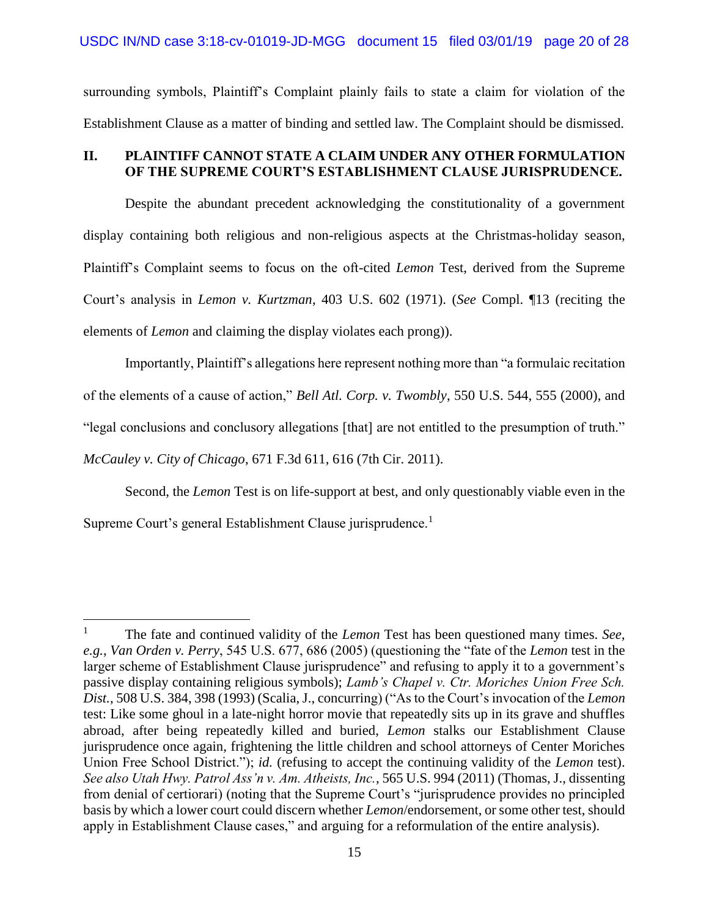surrounding symbols, Plaintiff's Complaint plainly fails to state a claim for violation of the Establishment Clause as a matter of binding and settled law. The Complaint should be dismissed.

## **II. PLAINTIFF CANNOT STATE A CLAIM UNDER ANY OTHER FORMULATION OF THE SUPREME COURT'S ESTABLISHMENT CLAUSE JURISPRUDENCE.**

Despite the abundant precedent acknowledging the constitutionality of a government display containing both religious and non-religious aspects at the Christmas-holiday season, Plaintiff's Complaint seems to focus on the oft-cited *Lemon* Test, derived from the Supreme Court's analysis in *Lemon v. Kurtzman*, 403 U.S. 602 (1971). (*See* Compl. ¶13 (reciting the elements of *Lemon* and claiming the display violates each prong)).

Importantly, Plaintiff's allegations here represent nothing more than "a formulaic recitation of the elements of a cause of action," *Bell Atl. Corp. v. Twombly*, 550 U.S. 544, 555 (2000), and "legal conclusions and conclusory allegations [that] are not entitled to the presumption of truth." *McCauley v. City of Chicago*, 671 F.3d 611, 616 (7th Cir. 2011).

Second, the *Lemon* Test is on life-support at best, and only questionably viable even in the Supreme Court's general Establishment Clause jurisprudence.<sup>1</sup>

 $\overline{a}$ 

<sup>1</sup> The fate and continued validity of the *Lemon* Test has been questioned many times. *See, e.g.*, *Van Orden v. Perry*, 545 U.S. 677, 686 (2005) (questioning the "fate of the *Lemon* test in the larger scheme of Establishment Clause jurisprudence" and refusing to apply it to a government's passive display containing religious symbols); *Lamb's Chapel v. Ctr. Moriches Union Free Sch. Dist.*, 508 U.S. 384, 398 (1993) (Scalia, J., concurring) ("As to the Court's invocation of the *Lemon*  test: Like some ghoul in a late-night horror movie that repeatedly sits up in its grave and shuffles abroad, after being repeatedly killed and buried, *Lemon* stalks our Establishment Clause jurisprudence once again, frightening the little children and school attorneys of Center Moriches Union Free School District."); *id.* (refusing to accept the continuing validity of the *Lemon* test). *See also Utah Hwy. Patrol Ass'n v. Am. Atheists, Inc.*, 565 U.S. 994 (2011) (Thomas, J., dissenting from denial of certiorari) (noting that the Supreme Court's "jurisprudence provides no principled basis by which a lower court could discern whether *Lemon*/endorsement, or some other test, should apply in Establishment Clause cases," and arguing for a reformulation of the entire analysis).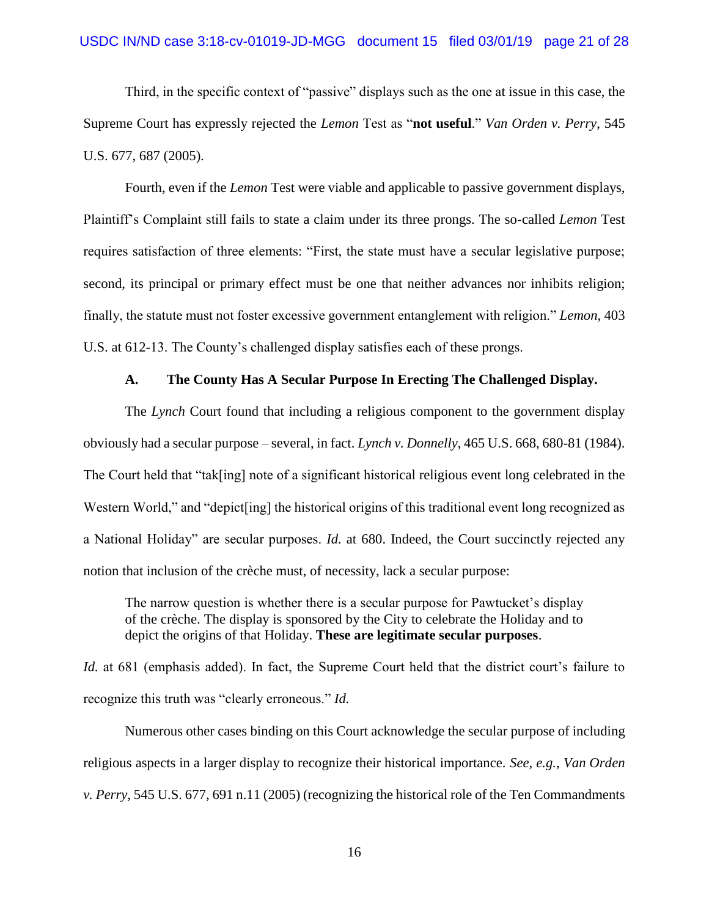#### USDC IN/ND case 3:18-cv-01019-JD-MGG document 15 filed 03/01/19 page 21 of 28

Third, in the specific context of "passive" displays such as the one at issue in this case, the Supreme Court has expressly rejected the *Lemon* Test as "**not useful**." *Van Orden v. Perry*, 545 U.S. 677, 687 (2005).

Fourth, even if the *Lemon* Test were viable and applicable to passive government displays, Plaintiff's Complaint still fails to state a claim under its three prongs. The so-called *Lemon* Test requires satisfaction of three elements: "First, the state must have a secular legislative purpose; second, its principal or primary effect must be one that neither advances nor inhibits religion; finally, the statute must not foster excessive government entanglement with religion." *Lemon*, 403 U.S. at 612-13. The County's challenged display satisfies each of these prongs.

#### **A. The County Has A Secular Purpose In Erecting The Challenged Display.**

The *Lynch* Court found that including a religious component to the government display obviously had a secular purpose – several, in fact. *Lynch v. Donnelly*, 465 U.S. 668, 680-81 (1984). The Court held that "tak[ing] note of a significant historical religious event long celebrated in the Western World," and "depict [ing] the historical origins of this traditional event long recognized as a National Holiday" are secular purposes. *Id.* at 680. Indeed, the Court succinctly rejected any notion that inclusion of the crèche must, of necessity, lack a secular purpose:

The narrow question is whether there is a secular purpose for Pawtucket's display of the crèche. The display is sponsored by the City to celebrate the Holiday and to depict the origins of that Holiday. **These are legitimate secular purposes**.

*Id.* at 681 (emphasis added). In fact, the Supreme Court held that the district court's failure to recognize this truth was "clearly erroneous." *Id.* 

Numerous other cases binding on this Court acknowledge the secular purpose of including religious aspects in a larger display to recognize their historical importance. *See, e.g.*, *Van Orden v. Perry*, 545 U.S. 677, 691 n.11 (2005) (recognizing the historical role of the Ten Commandments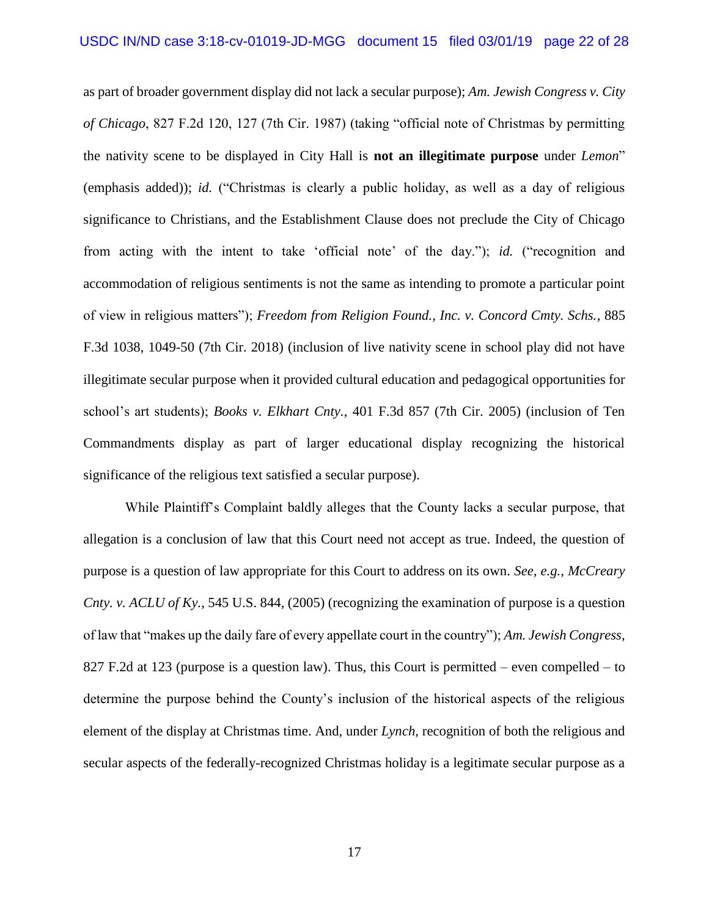as part of broader government display did not lack a secular purpose); *Am. Jewish Congress v. City of Chicago*, 827 F.2d 120, 127 (7th Cir. 1987) (taking "official note of Christmas by permitting the nativity scene to be displayed in City Hall is **not an illegitimate purpose** under *Lemon*" (emphasis added)); *id.* ("Christmas is clearly a public holiday, as well as a day of religious significance to Christians, and the Establishment Clause does not preclude the City of Chicago from acting with the intent to take 'official note' of the day."); *id.* ("recognition and accommodation of religious sentiments is not the same as intending to promote a particular point of view in religious matters"); *Freedom from Religion Found., Inc. v. Concord Cmty. Schs.*, 885 F.3d 1038, 1049-50 (7th Cir. 2018) (inclusion of live nativity scene in school play did not have illegitimate secular purpose when it provided cultural education and pedagogical opportunities for school's art students); *Books v. Elkhart Cnty.*, 401 F.3d 857 (7th Cir. 2005) (inclusion of Ten Commandments display as part of larger educational display recognizing the historical significance of the religious text satisfied a secular purpose).

While Plaintiff's Complaint baldly alleges that the County lacks a secular purpose, that allegation is a conclusion of law that this Court need not accept as true. Indeed, the question of purpose is a question of law appropriate for this Court to address on its own. *See, e.g.*, *McCreary Cnty. v. ACLU of Ky.*, 545 U.S. 844, (2005) (recognizing the examination of purpose is a question of law that "makes up the daily fare of every appellate court in the country"); *Am. Jewish Congress*, 827 F.2d at 123 (purpose is a question law). Thus, this Court is permitted – even compelled – to determine the purpose behind the County's inclusion of the historical aspects of the religious element of the display at Christmas time. And, under *Lynch*, recognition of both the religious and secular aspects of the federally-recognized Christmas holiday is a legitimate secular purpose as a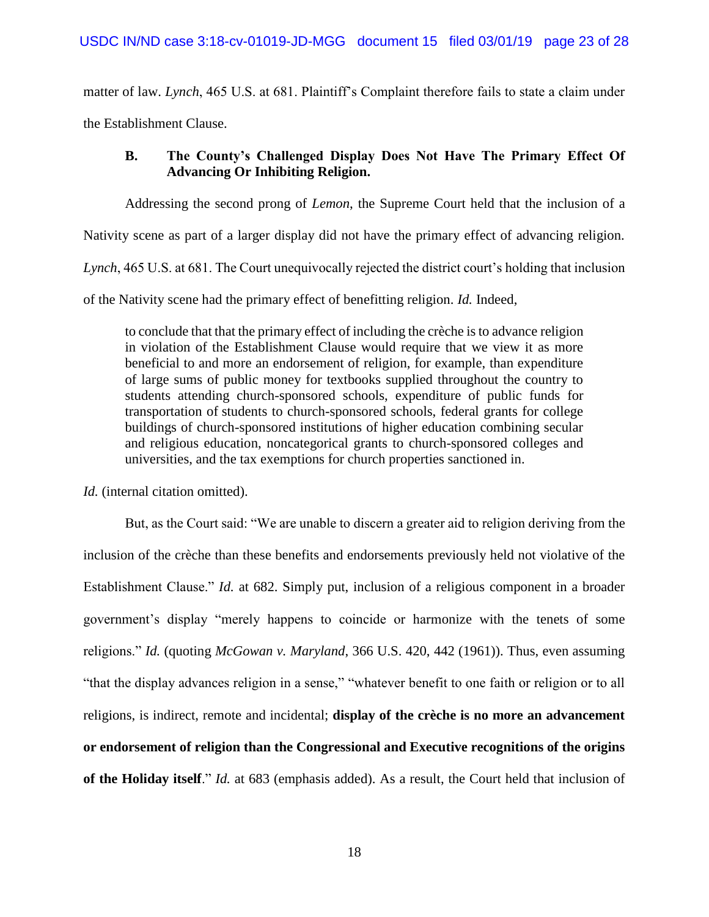matter of law. *Lynch*, 465 U.S. at 681. Plaintiff's Complaint therefore fails to state a claim under the Establishment Clause.

# **B. The County's Challenged Display Does Not Have The Primary Effect Of Advancing Or Inhibiting Religion.**

Addressing the second prong of *Lemon*, the Supreme Court held that the inclusion of a

Nativity scene as part of a larger display did not have the primary effect of advancing religion.

*Lynch*, 465 U.S. at 681. The Court unequivocally rejected the district court's holding that inclusion

of the Nativity scene had the primary effect of benefitting religion. *Id.* Indeed,

to conclude that that the primary effect of including the crèche is to advance religion in violation of the Establishment Clause would require that we view it as more beneficial to and more an endorsement of religion, for example, than expenditure of large sums of public money for textbooks supplied throughout the country to students attending church-sponsored schools, expenditure of public funds for transportation of students to church-sponsored schools, federal grants for college buildings of church-sponsored institutions of higher education combining secular and religious education, noncategorical grants to church-sponsored colleges and universities, and the tax exemptions for church properties sanctioned in.

*Id.* (internal citation omitted).

But, as the Court said: "We are unable to discern a greater aid to religion deriving from the inclusion of the crèche than these benefits and endorsements previously held not violative of the Establishment Clause." *Id.* at 682. Simply put, inclusion of a religious component in a broader government's display "merely happens to coincide or harmonize with the tenets of some religions." *Id.* (quoting *McGowan v. Maryland*, 366 U.S. 420, 442 (1961)). Thus, even assuming "that the display advances religion in a sense," "whatever benefit to one faith or religion or to all religions, is indirect, remote and incidental; **display of the crèche is no more an advancement or endorsement of religion than the Congressional and Executive recognitions of the origins of the Holiday itself**." *Id.* at 683 (emphasis added). As a result, the Court held that inclusion of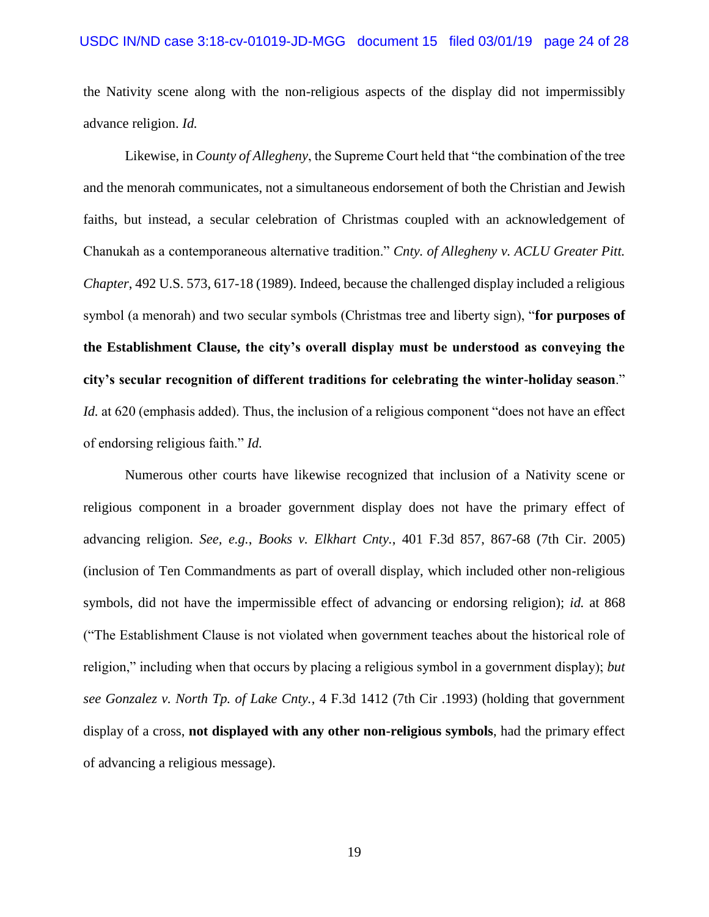the Nativity scene along with the non-religious aspects of the display did not impermissibly advance religion. *Id.*

Likewise, in *County of Allegheny*, the Supreme Court held that "the combination of the tree and the menorah communicates, not a simultaneous endorsement of both the Christian and Jewish faiths, but instead, a secular celebration of Christmas coupled with an acknowledgement of Chanukah as a contemporaneous alternative tradition." *Cnty. of Allegheny v. ACLU Greater Pitt. Chapter*, 492 U.S. 573, 617-18 (1989). Indeed, because the challenged display included a religious symbol (a menorah) and two secular symbols (Christmas tree and liberty sign), "**for purposes of the Establishment Clause, the city's overall display must be understood as conveying the city's secular recognition of different traditions for celebrating the winter-holiday season**." *Id.* at 620 (emphasis added). Thus, the inclusion of a religious component "does not have an effect of endorsing religious faith." *Id.*

Numerous other courts have likewise recognized that inclusion of a Nativity scene or religious component in a broader government display does not have the primary effect of advancing religion. *See, e.g.*, *Books v. Elkhart Cnty.*, 401 F.3d 857, 867-68 (7th Cir. 2005) (inclusion of Ten Commandments as part of overall display, which included other non-religious symbols, did not have the impermissible effect of advancing or endorsing religion); *id.* at 868 ("The Establishment Clause is not violated when government teaches about the historical role of religion," including when that occurs by placing a religious symbol in a government display); *but see Gonzalez v. North Tp. of Lake Cnty.*, 4 F.3d 1412 (7th Cir .1993) (holding that government display of a cross, **not displayed with any other non-religious symbols**, had the primary effect of advancing a religious message).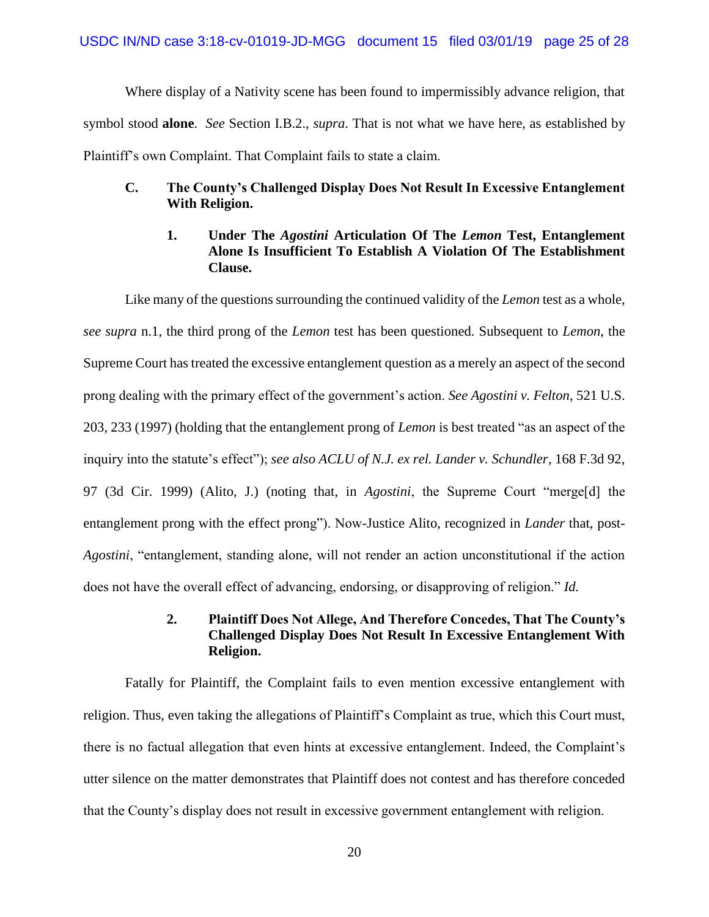Where display of a Nativity scene has been found to impermissibly advance religion, that symbol stood **alone**. *See* Section I.B.2., *supra*. That is not what we have here, as established by Plaintiff's own Complaint. That Complaint fails to state a claim.

### **C. The County's Challenged Display Does Not Result In Excessive Entanglement With Religion.**

### **1. Under The** *Agostini* **Articulation Of The** *Lemon* **Test, Entanglement Alone Is Insufficient To Establish A Violation Of The Establishment Clause.**

Like many of the questions surrounding the continued validity of the *Lemon* test as a whole, *see supra* n.1, the third prong of the *Lemon* test has been questioned. Subsequent to *Lemon*, the Supreme Court has treated the excessive entanglement question as a merely an aspect of the second prong dealing with the primary effect of the government's action. *See Agostini v. Felton*, 521 U.S. 203, 233 (1997) (holding that the entanglement prong of *Lemon* is best treated "as an aspect of the inquiry into the statute's effect"); *see also ACLU of N.J. ex rel. Lander v. Schundler*, 168 F.3d 92, 97 (3d Cir. 1999) (Alito, J.) (noting that, in *Agostini*, the Supreme Court "merge[d] the entanglement prong with the effect prong"). Now-Justice Alito, recognized in *Lander* that, post-*Agostini*, "entanglement, standing alone, will not render an action unconstitutional if the action does not have the overall effect of advancing, endorsing, or disapproving of religion." *Id.* 

# **2. Plaintiff Does Not Allege, And Therefore Concedes, That The County's Challenged Display Does Not Result In Excessive Entanglement With Religion.**

Fatally for Plaintiff, the Complaint fails to even mention excessive entanglement with religion. Thus, even taking the allegations of Plaintiff's Complaint as true, which this Court must, there is no factual allegation that even hints at excessive entanglement. Indeed, the Complaint's utter silence on the matter demonstrates that Plaintiff does not contest and has therefore conceded that the County's display does not result in excessive government entanglement with religion.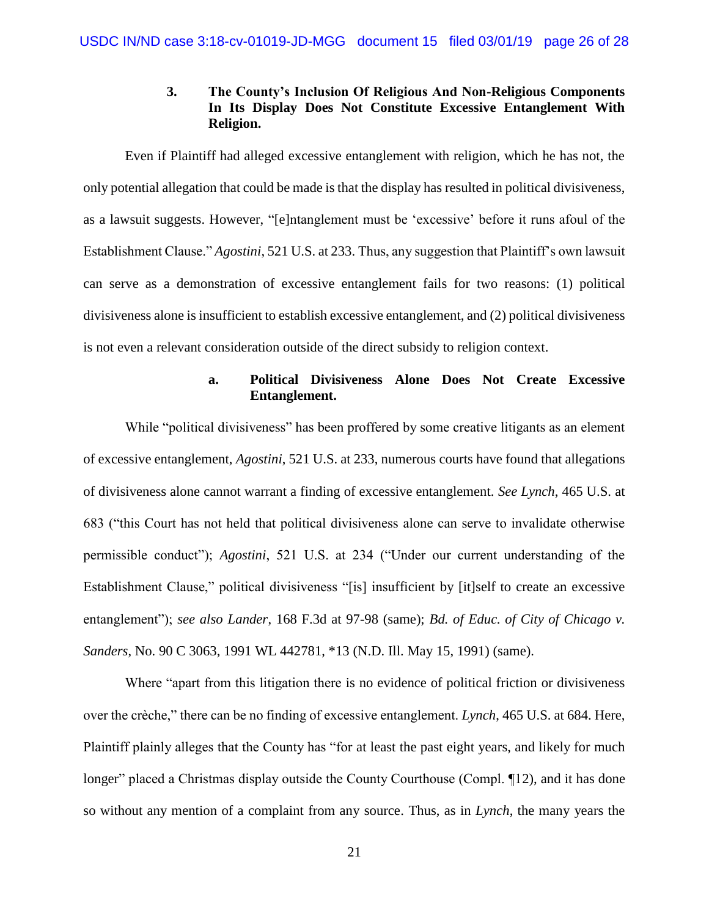# **3. The County's Inclusion Of Religious And Non-Religious Components In Its Display Does Not Constitute Excessive Entanglement With Religion.**

Even if Plaintiff had alleged excessive entanglement with religion, which he has not, the only potential allegation that could be made is that the display has resulted in political divisiveness, as a lawsuit suggests. However, "[e]ntanglement must be 'excessive' before it runs afoul of the Establishment Clause." *Agostini*, 521 U.S. at 233. Thus, any suggestion that Plaintiff's own lawsuit can serve as a demonstration of excessive entanglement fails for two reasons: (1) political divisiveness alone is insufficient to establish excessive entanglement, and (2) political divisiveness is not even a relevant consideration outside of the direct subsidy to religion context.

## **a. Political Divisiveness Alone Does Not Create Excessive Entanglement.**

While "political divisiveness" has been proffered by some creative litigants as an element of excessive entanglement, *Agostini*, 521 U.S. at 233, numerous courts have found that allegations of divisiveness alone cannot warrant a finding of excessive entanglement. *See Lynch*, 465 U.S. at 683 ("this Court has not held that political divisiveness alone can serve to invalidate otherwise permissible conduct"); *Agostini*, 521 U.S. at 234 ("Under our current understanding of the Establishment Clause," political divisiveness "[is] insufficient by [it]self to create an excessive entanglement"); *see also Lander*, 168 F.3d at 97-98 (same); *Bd. of Educ. of City of Chicago v. Sanders*, No. 90 C 3063, 1991 WL 442781, \*13 (N.D. Ill. May 15, 1991) (same).

Where "apart from this litigation there is no evidence of political friction or divisiveness over the crèche," there can be no finding of excessive entanglement. *Lynch*, 465 U.S. at 684. Here, Plaintiff plainly alleges that the County has "for at least the past eight years, and likely for much longer" placed a Christmas display outside the County Courthouse (Compl. ¶12), and it has done so without any mention of a complaint from any source. Thus, as in *Lynch*, the many years the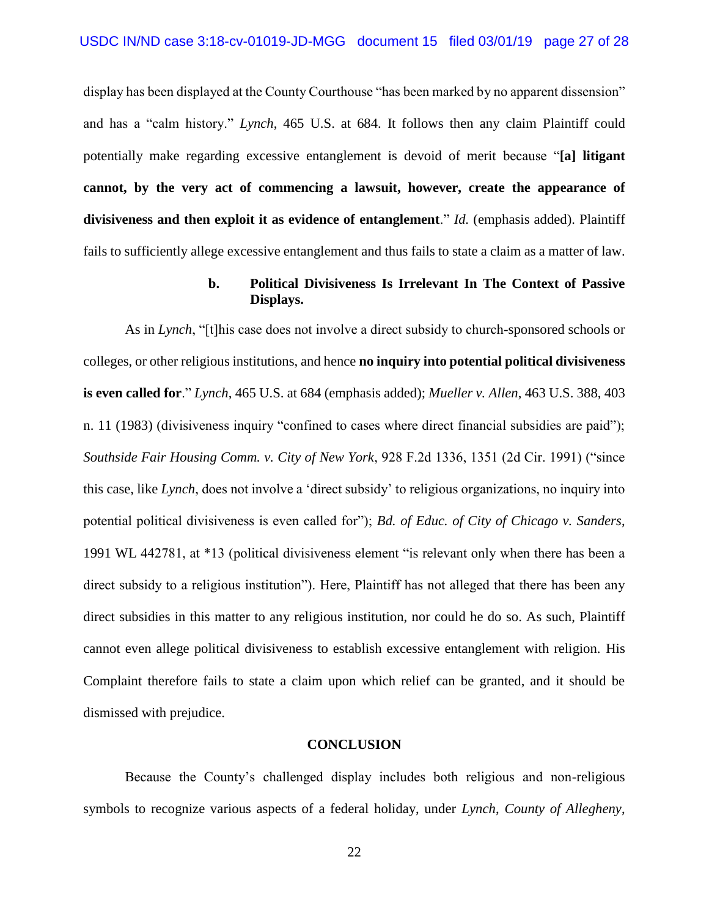display has been displayed at the County Courthouse "has been marked by no apparent dissension" and has a "calm history." *Lynch*, 465 U.S. at 684. It follows then any claim Plaintiff could potentially make regarding excessive entanglement is devoid of merit because "**[a] litigant cannot, by the very act of commencing a lawsuit, however, create the appearance of divisiveness and then exploit it as evidence of entanglement**." *Id.* (emphasis added). Plaintiff fails to sufficiently allege excessive entanglement and thus fails to state a claim as a matter of law.

#### **b. Political Divisiveness Is Irrelevant In The Context of Passive Displays.**

As in *Lynch*, "[t]his case does not involve a direct subsidy to church-sponsored schools or colleges, or other religious institutions, and hence **no inquiry into potential political divisiveness is even called for**." *Lynch*, 465 U.S. at 684 (emphasis added); *Mueller v. Allen*, 463 U.S. 388, 403 n. 11 (1983) (divisiveness inquiry "confined to cases where direct financial subsidies are paid"); *Southside Fair Housing Comm. v. City of New York*, 928 F.2d 1336, 1351 (2d Cir. 1991) ("since this case, like *Lynch*, does not involve a 'direct subsidy' to religious organizations, no inquiry into potential political divisiveness is even called for"); *Bd. of Educ. of City of Chicago v. Sanders*, 1991 WL 442781, at \*13 (political divisiveness element "is relevant only when there has been a direct subsidy to a religious institution"). Here, Plaintiff has not alleged that there has been any direct subsidies in this matter to any religious institution, nor could he do so. As such, Plaintiff cannot even allege political divisiveness to establish excessive entanglement with religion. His Complaint therefore fails to state a claim upon which relief can be granted, and it should be dismissed with prejudice.

#### **CONCLUSION**

Because the County's challenged display includes both religious and non-religious symbols to recognize various aspects of a federal holiday, under *Lynch*, *County of Allegheny*,